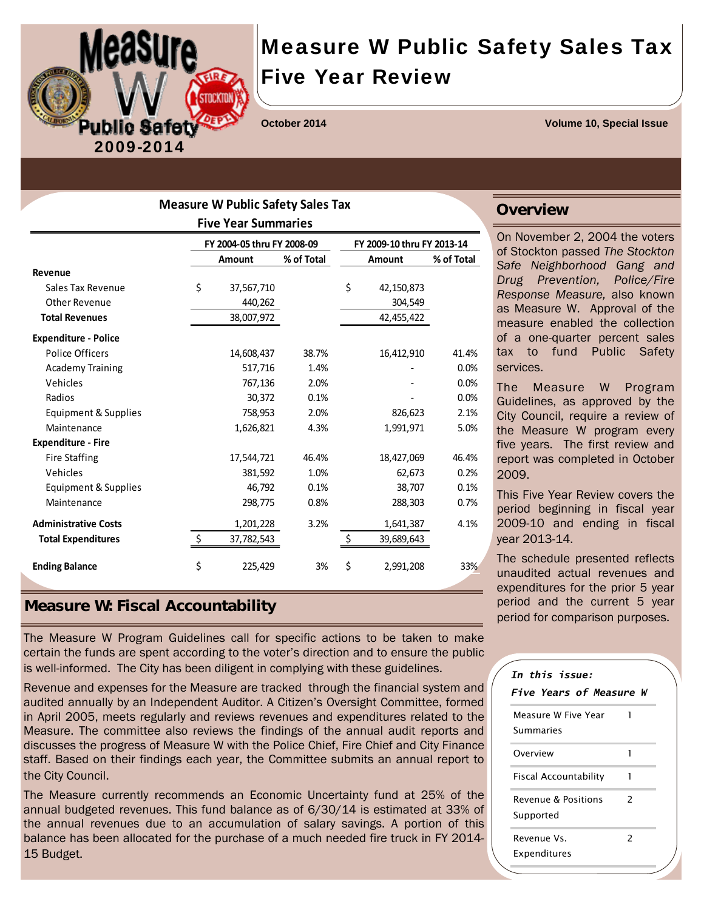

# Measure W Public Safety Sales Tax Five Year Review

**October 2014 Volume 10, Special Issue** 

| <b>Measure W Public Safety Sales Tax</b> |    |                            |            |    |                            |            |  |  |
|------------------------------------------|----|----------------------------|------------|----|----------------------------|------------|--|--|
| <b>Five Year Summaries</b>               |    |                            |            |    |                            |            |  |  |
|                                          |    | FY 2004-05 thru FY 2008-09 |            |    | FY 2009-10 thru FY 2013-14 |            |  |  |
|                                          |    | Amount                     | % of Total |    | <b>Amount</b>              | % of Total |  |  |
| Revenue                                  |    |                            |            |    |                            |            |  |  |
| Sales Tax Revenue                        | \$ | 37,567,710                 |            | \$ | 42,150,873                 |            |  |  |
| <b>Other Revenue</b>                     |    | 440,262                    |            |    | 304,549                    |            |  |  |
| <b>Total Revenues</b>                    |    | 38,007,972                 |            |    | 42,455,422                 |            |  |  |
| <b>Expenditure - Police</b>              |    |                            |            |    |                            |            |  |  |
| Police Officers                          |    | 14,608,437                 | 38.7%      |    | 16,412,910                 | 41.4%      |  |  |
| <b>Academy Training</b>                  |    | 517,716                    | 1.4%       |    |                            | 0.0%       |  |  |
| Vehicles                                 |    | 767,136                    | 2.0%       |    |                            | 0.0%       |  |  |
| Radios                                   |    | 30,372                     | 0.1%       |    |                            | 0.0%       |  |  |
| Equipment & Supplies                     |    | 758,953                    | 2.0%       |    | 826,623                    | 2.1%       |  |  |
| Maintenance                              |    | 1,626,821                  | 4.3%       |    | 1,991,971                  | 5.0%       |  |  |
| <b>Expenditure - Fire</b>                |    |                            |            |    |                            |            |  |  |
| <b>Fire Staffing</b>                     |    | 17,544,721                 | 46.4%      |    | 18,427,069                 | 46.4%      |  |  |
| Vehicles                                 |    | 381,592                    | 1.0%       |    | 62,673                     | 0.2%       |  |  |
| Equipment & Supplies                     |    | 46,792                     | 0.1%       |    | 38,707                     | 0.1%       |  |  |
| Maintenance                              |    | 298,775                    | 0.8%       |    | 288,303                    | 0.7%       |  |  |
| <b>Administrative Costs</b>              |    | 1,201,228                  | 3.2%       |    | 1,641,387                  | 4.1%       |  |  |
| <b>Total Expenditures</b>                | \$ | 37,782,543                 |            | \$ | 39,689,643                 |            |  |  |
| <b>Ending Balance</b>                    | \$ | 225,429                    | 3%         | \$ | 2,991,208                  | 33%        |  |  |

### **Measure W: Fiscal Accountability**

The Measure W Program Guidelines call for specific actions to be taken to make certain the funds are spent according to the voter's direction and to ensure the public is well-informed. The City has been diligent in complying with these guidelines.

Revenue and expenses for the Measure are tracked through the financial system and audited annually by an Independent Auditor. A Citizen's Oversight Committee, formed in April 2005, meets regularly and reviews revenues and expenditures related to the Measure. The committee also reviews the findings of the annual audit reports and discusses the progress of Measure W with the Police Chief, Fire Chief and City Finance staff. Based on their findings each year, the Committee submits an annual report to the City Council.

The Measure currently recommends an Economic Uncertainty fund at 25% of the annual budgeted revenues. This fund balance as of 6/30/14 is estimated at 33% of the annual revenues due to an accumulation of salary savings. A portion of this balance has been allocated for the purchase of a much needed fire truck in FY 2014- 15 Budget.

#### **Overview**

On November 2, 2004 the voters of Stockton passed *The Stockton Safe Neighborhood Gang and Drug Prevention, Police/Fire Response Measure,* also known as Measure W. Approval of the measure enabled the collection of a one-quarter percent sales tax to fund Public Safety services.

The Measure W Program Guidelines, as approved by the City Council, require a review of the Measure W program every five years. The first review and report was completed in October 2009.

This Five Year Review covers the period beginning in fiscal year 2009-10 and ending in fiscal year 2013-14.

The schedule presented reflects unaudited actual revenues and expenditures for the prior 5 year period and the current 5 year period for comparison purposes.

| In this issue:<br>Five Years of Measure W |               |  |  |  |  |
|-------------------------------------------|---------------|--|--|--|--|
| Measure W Five Year<br>Summaries          | 1             |  |  |  |  |
| Overview                                  | 1             |  |  |  |  |
| Fiscal Accountability                     | 1             |  |  |  |  |
| Revenue & Positions<br>Supported          | $\mathcal{P}$ |  |  |  |  |
| Revenue Vs.<br>Expenditures               | 2             |  |  |  |  |